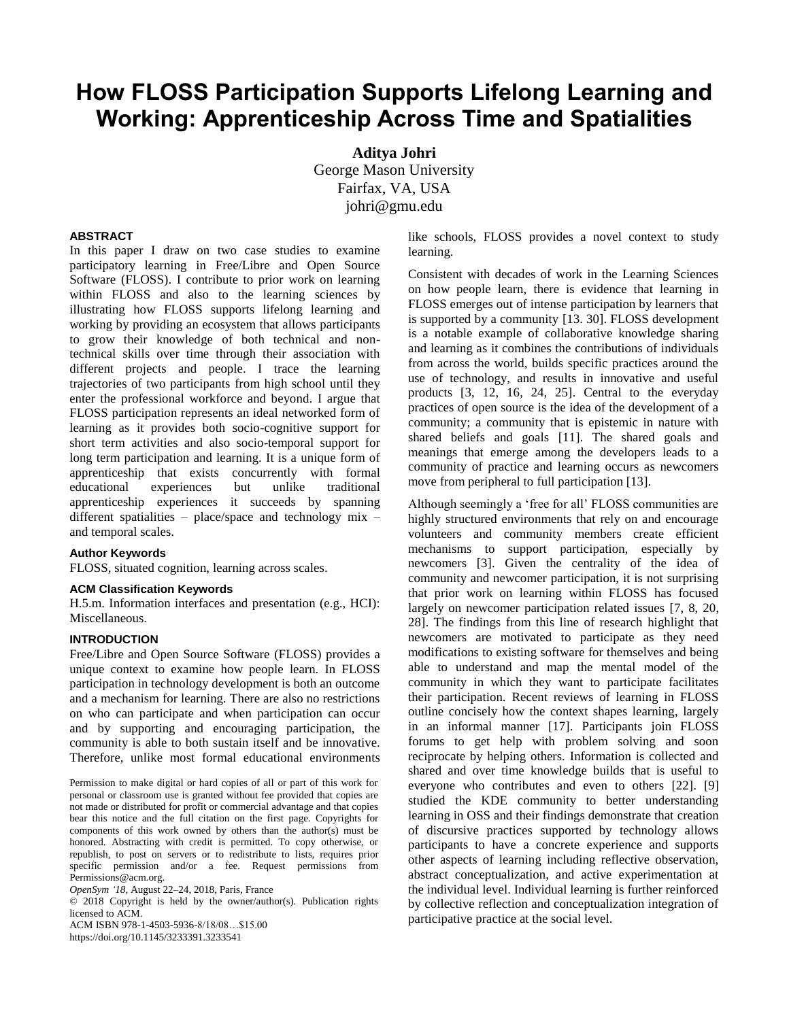# **How FLOSS Participation Supports Lifelong Learning and Working: Apprenticeship Across Time and Spatialities**

**Aditya Johri** George Mason University Fairfax, VA, USA johri@gmu.edu

#### **ABSTRACT**

In this paper I draw on two case studies to examine participatory learning in Free/Libre and Open Source Software (FLOSS). I contribute to prior work on learning within FLOSS and also to the learning sciences by illustrating how FLOSS supports lifelong learning and working by providing an ecosystem that allows participants to grow their knowledge of both technical and nontechnical skills over time through their association with different projects and people. I trace the learning trajectories of two participants from high school until they enter the professional workforce and beyond. I argue that FLOSS participation represents an ideal networked form of learning as it provides both socio-cognitive support for short term activities and also socio-temporal support for long term participation and learning. It is a unique form of apprenticeship that exists concurrently with formal educational experiences but unlike traditional apprenticeship experiences it succeeds by spanning different spatialities – place/space and technology mix – and temporal scales.

#### **Author Keywords**

FLOSS, situated cognition, learning across scales.

#### **ACM Classification Keywords**

H.5.m. Information interfaces and presentation (e.g., HCI): Miscellaneous.

#### **INTRODUCTION**

Free/Libre and Open Source Software (FLOSS) provides a unique context to examine how people learn. In FLOSS participation in technology development is both an outcome and a mechanism for learning. There are also no restrictions on who can participate and when participation can occur and by supporting and encouraging participation, the community is able to both sustain itself and be innovative. Therefore, unlike most formal educational environments

Permission to make digital or hard copies of all or part of this work for personal or classroom use is granted without fee provided that copies are not made or distributed for profit or commercial advantage and that copies bear this notice and the full citation on the first page. Copyrights for components of this work owned by others than the author(s) must be honored. Abstracting with credit is permitted. To copy otherwise, or republish, to post on servers or to redistribute to lists, requires prior specific permission and/or a fee. Request permissions from Permissions@acm.org.

*OpenSym "18*, August 22–24, 2018, Paris, France

© 2018 Copyright is held by the owner/author(s). Publication rights licensed to ACM.

ACM ISBN 978-1-4503-5936-8/18/08…\$15.00

https://doi.org/10.1145/3233391.3233541

like schools, FLOSS provides a novel context to study learning.

Consistent with decades of work in the Learning Sciences on how people learn, there is evidence that learning in FLOSS emerges out of intense participation by learners that is supported by a community [13. 30]. FLOSS development is a notable example of collaborative knowledge sharing and learning as it combines the contributions of individuals from across the world, builds specific practices around the use of technology, and results in innovative and useful products [3, 12, 16, 24, 25]. Central to the everyday practices of open source is the idea of the development of a community; a community that is epistemic in nature with shared beliefs and goals [11]. The shared goals and meanings that emerge among the developers leads to a community of practice and learning occurs as newcomers move from peripheral to full participation [13].

Although seemingly a "free for all" FLOSS communities are highly structured environments that rely on and encourage volunteers and community members create efficient mechanisms to support participation, especially by newcomers [3]. Given the centrality of the idea of community and newcomer participation, it is not surprising that prior work on learning within FLOSS has focused largely on newcomer participation related issues [7, 8, 20, 28]. The findings from this line of research highlight that newcomers are motivated to participate as they need modifications to existing software for themselves and being able to understand and map the mental model of the community in which they want to participate facilitates their participation. Recent reviews of learning in FLOSS outline concisely how the context shapes learning, largely in an informal manner [17]. Participants join FLOSS forums to get help with problem solving and soon reciprocate by helping others. Information is collected and shared and over time knowledge builds that is useful to everyone who contributes and even to others [22]. [9] studied the KDE community to better understanding learning in OSS and their findings demonstrate that creation of discursive practices supported by technology allows participants to have a concrete experience and supports other aspects of learning including reflective observation, abstract conceptualization, and active experimentation at the individual level. Individual learning is further reinforced by collective reflection and conceptualization integration of participative practice at the social level.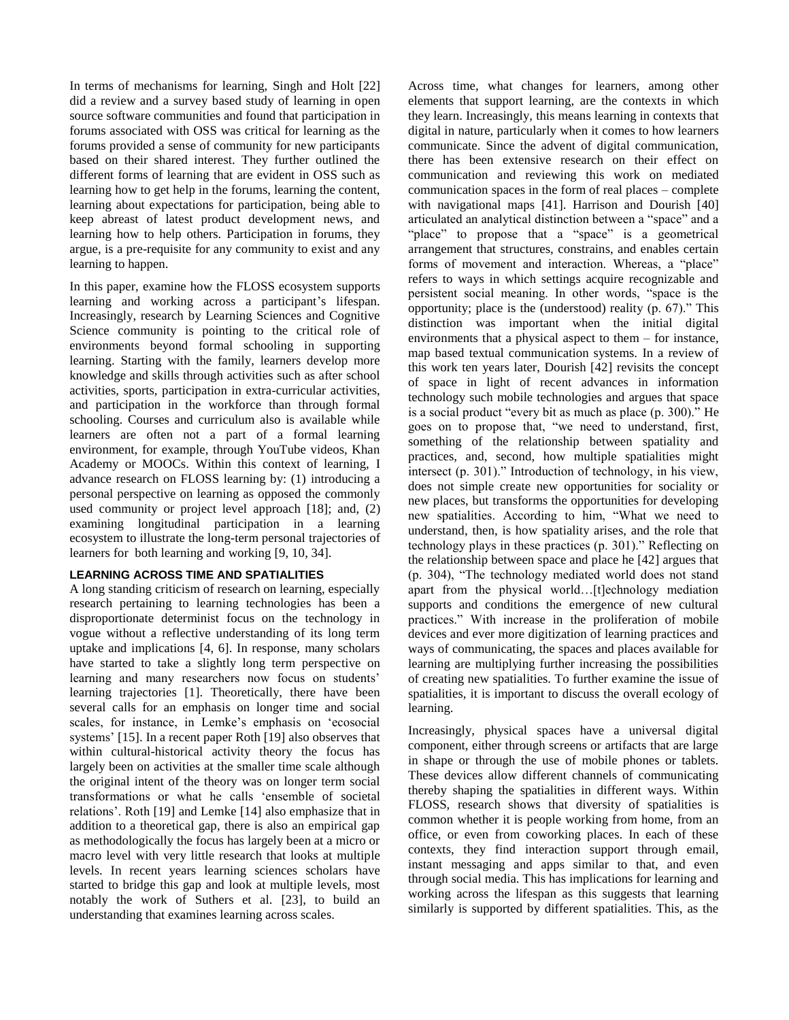In terms of mechanisms for learning, Singh and Holt [22] did a review and a survey based study of learning in open source software communities and found that participation in forums associated with OSS was critical for learning as the forums provided a sense of community for new participants based on their shared interest. They further outlined the different forms of learning that are evident in OSS such as learning how to get help in the forums, learning the content, learning about expectations for participation, being able to keep abreast of latest product development news, and learning how to help others. Participation in forums, they argue, is a pre-requisite for any community to exist and any learning to happen.

In this paper, examine how the FLOSS ecosystem supports learning and working across a participant's lifespan. Increasingly, research by Learning Sciences and Cognitive Science community is pointing to the critical role of environments beyond formal schooling in supporting learning. Starting with the family, learners develop more knowledge and skills through activities such as after school activities, sports, participation in extra-curricular activities, and participation in the workforce than through formal schooling. Courses and curriculum also is available while learners are often not a part of a formal learning environment, for example, through YouTube videos, Khan Academy or MOOCs. Within this context of learning, I advance research on FLOSS learning by: (1) introducing a personal perspective on learning as opposed the commonly used community or project level approach [18]; and, (2) examining longitudinal participation in a learning ecosystem to illustrate the long-term personal trajectories of learners for both learning and working [9, 10, 34].

# **LEARNING ACROSS TIME AND SPATIALITIES**

A long standing criticism of research on learning, especially research pertaining to learning technologies has been a disproportionate determinist focus on the technology in vogue without a reflective understanding of its long term uptake and implications [4, 6]. In response, many scholars have started to take a slightly long term perspective on learning and many researchers now focus on students' learning trajectories [1]. Theoretically, there have been several calls for an emphasis on longer time and social scales, for instance, in Lemke"s emphasis on "ecosocial systems' [15]. In a recent paper Roth [19] also observes that within cultural-historical activity theory the focus has largely been on activities at the smaller time scale although the original intent of the theory was on longer term social transformations or what he calls "ensemble of societal relations". Roth [19] and Lemke [14] also emphasize that in addition to a theoretical gap, there is also an empirical gap as methodologically the focus has largely been at a micro or macro level with very little research that looks at multiple levels. In recent years learning sciences scholars have started to bridge this gap and look at multiple levels, most notably the work of Suthers et al. [23], to build an understanding that examines learning across scales.

Across time, what changes for learners, among other elements that support learning, are the contexts in which they learn. Increasingly, this means learning in contexts that digital in nature, particularly when it comes to how learners communicate. Since the advent of digital communication, there has been extensive research on their effect on communication and reviewing this work on mediated communication spaces in the form of real places – complete with navigational maps [41]. Harrison and Dourish [40] articulated an analytical distinction between a "space" and a "place" to propose that a "space" is a geometrical arrangement that structures, constrains, and enables certain forms of movement and interaction. Whereas, a "place" refers to ways in which settings acquire recognizable and persistent social meaning. In other words, "space is the opportunity; place is the (understood) reality (p. 67)." This distinction was important when the initial digital environments that a physical aspect to them – for instance, map based textual communication systems. In a review of this work ten years later, Dourish [42] revisits the concept of space in light of recent advances in information technology such mobile technologies and argues that space is a social product "every bit as much as place (p. 300)." He goes on to propose that, "we need to understand, first, something of the relationship between spatiality and practices, and, second, how multiple spatialities might intersect (p. 301)." Introduction of technology, in his view, does not simple create new opportunities for sociality or new places, but transforms the opportunities for developing new spatialities. According to him, "What we need to understand, then, is how spatiality arises, and the role that technology plays in these practices (p. 301)." Reflecting on the relationship between space and place he [42] argues that (p. 304), "The technology mediated world does not stand apart from the physical world…[t]echnology mediation supports and conditions the emergence of new cultural practices." With increase in the proliferation of mobile devices and ever more digitization of learning practices and ways of communicating, the spaces and places available for learning are multiplying further increasing the possibilities of creating new spatialities. To further examine the issue of spatialities, it is important to discuss the overall ecology of learning.

Increasingly, physical spaces have a universal digital component, either through screens or artifacts that are large in shape or through the use of mobile phones or tablets. These devices allow different channels of communicating thereby shaping the spatialities in different ways. Within FLOSS, research shows that diversity of spatialities is common whether it is people working from home, from an office, or even from coworking places. In each of these contexts, they find interaction support through email, instant messaging and apps similar to that, and even through social media. This has implications for learning and working across the lifespan as this suggests that learning similarly is supported by different spatialities. This, as the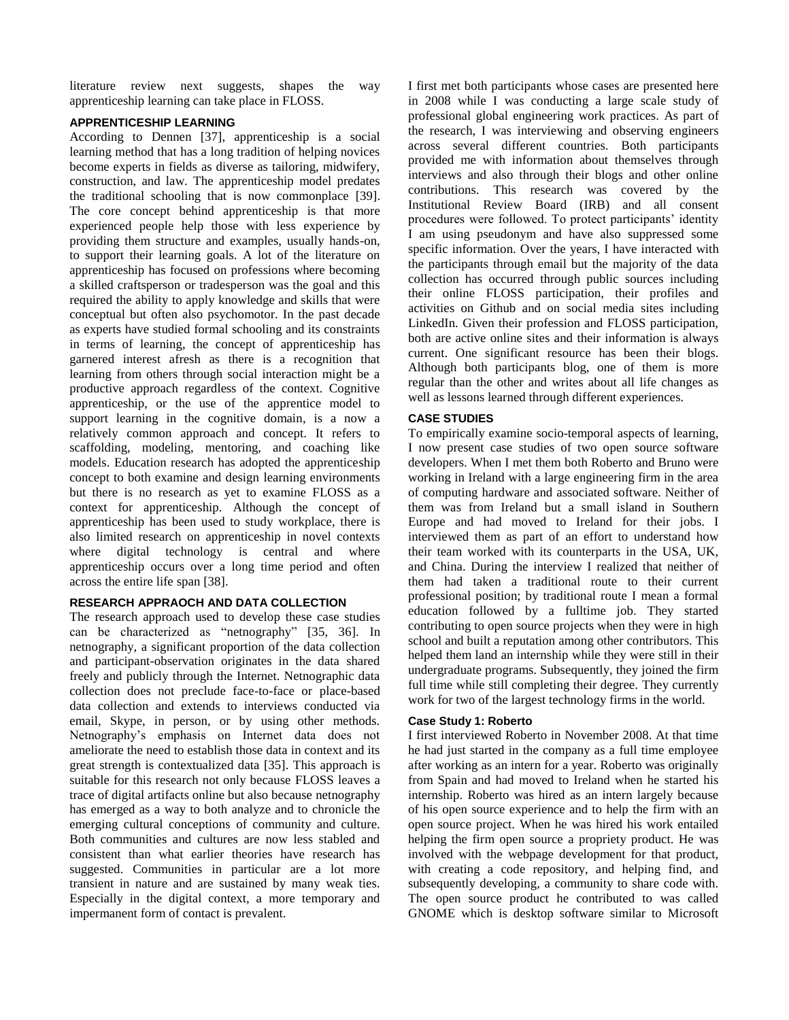literature review next suggests, shapes the way apprenticeship learning can take place in FLOSS.

# **APPRENTICESHIP LEARNING**

According to Dennen [37], apprenticeship is a social learning method that has a long tradition of helping novices become experts in fields as diverse as tailoring, midwifery, construction, and law. The apprenticeship model predates the traditional schooling that is now commonplace [39]. The core concept behind apprenticeship is that more experienced people help those with less experience by providing them structure and examples, usually hands-on, to support their learning goals. A lot of the literature on apprenticeship has focused on professions where becoming a skilled craftsperson or tradesperson was the goal and this required the ability to apply knowledge and skills that were conceptual but often also psychomotor. In the past decade as experts have studied formal schooling and its constraints in terms of learning, the concept of apprenticeship has garnered interest afresh as there is a recognition that learning from others through social interaction might be a productive approach regardless of the context. Cognitive apprenticeship, or the use of the apprentice model to support learning in the cognitive domain, is a now a relatively common approach and concept. It refers to scaffolding, modeling, mentoring, and coaching like models. Education research has adopted the apprenticeship concept to both examine and design learning environments but there is no research as yet to examine FLOSS as a context for apprenticeship. Although the concept of apprenticeship has been used to study workplace, there is also limited research on apprenticeship in novel contexts where digital technology is central and where apprenticeship occurs over a long time period and often across the entire life span [38].

# **RESEARCH APPRAOCH AND DATA COLLECTION**

The research approach used to develop these case studies can be characterized as "netnography" [35, 36]. In netnography, a significant proportion of the data collection and participant-observation originates in the data shared freely and publicly through the Internet. Netnographic data collection does not preclude face-to-face or place-based data collection and extends to interviews conducted via email, Skype, in person, or by using other methods. Netnography"s emphasis on Internet data does not ameliorate the need to establish those data in context and its great strength is contextualized data [35]. This approach is suitable for this research not only because FLOSS leaves a trace of digital artifacts online but also because netnography has emerged as a way to both analyze and to chronicle the emerging cultural conceptions of community and culture. Both communities and cultures are now less stabled and consistent than what earlier theories have research has suggested. Communities in particular are a lot more transient in nature and are sustained by many weak ties. Especially in the digital context, a more temporary and impermanent form of contact is prevalent.

I first met both participants whose cases are presented here in 2008 while I was conducting a large scale study of professional global engineering work practices. As part of the research, I was interviewing and observing engineers across several different countries. Both participants provided me with information about themselves through interviews and also through their blogs and other online contributions. This research was covered by the Institutional Review Board (IRB) and all consent procedures were followed. To protect participants' identity I am using pseudonym and have also suppressed some specific information. Over the years, I have interacted with the participants through email but the majority of the data collection has occurred through public sources including their online FLOSS participation, their profiles and activities on Github and on social media sites including LinkedIn. Given their profession and FLOSS participation, both are active online sites and their information is always current. One significant resource has been their blogs. Although both participants blog, one of them is more regular than the other and writes about all life changes as well as lessons learned through different experiences.

# **CASE STUDIES**

To empirically examine socio-temporal aspects of learning, I now present case studies of two open source software developers. When I met them both Roberto and Bruno were working in Ireland with a large engineering firm in the area of computing hardware and associated software. Neither of them was from Ireland but a small island in Southern Europe and had moved to Ireland for their jobs. I interviewed them as part of an effort to understand how their team worked with its counterparts in the USA, UK, and China. During the interview I realized that neither of them had taken a traditional route to their current professional position; by traditional route I mean a formal education followed by a fulltime job. They started contributing to open source projects when they were in high school and built a reputation among other contributors. This helped them land an internship while they were still in their undergraduate programs. Subsequently, they joined the firm full time while still completing their degree. They currently work for two of the largest technology firms in the world.

## **Case Study 1: Roberto**

I first interviewed Roberto in November 2008. At that time he had just started in the company as a full time employee after working as an intern for a year. Roberto was originally from Spain and had moved to Ireland when he started his internship. Roberto was hired as an intern largely because of his open source experience and to help the firm with an open source project. When he was hired his work entailed helping the firm open source a propriety product. He was involved with the webpage development for that product, with creating a code repository, and helping find, and subsequently developing, a community to share code with. The open source product he contributed to was called GNOME which is desktop software similar to Microsoft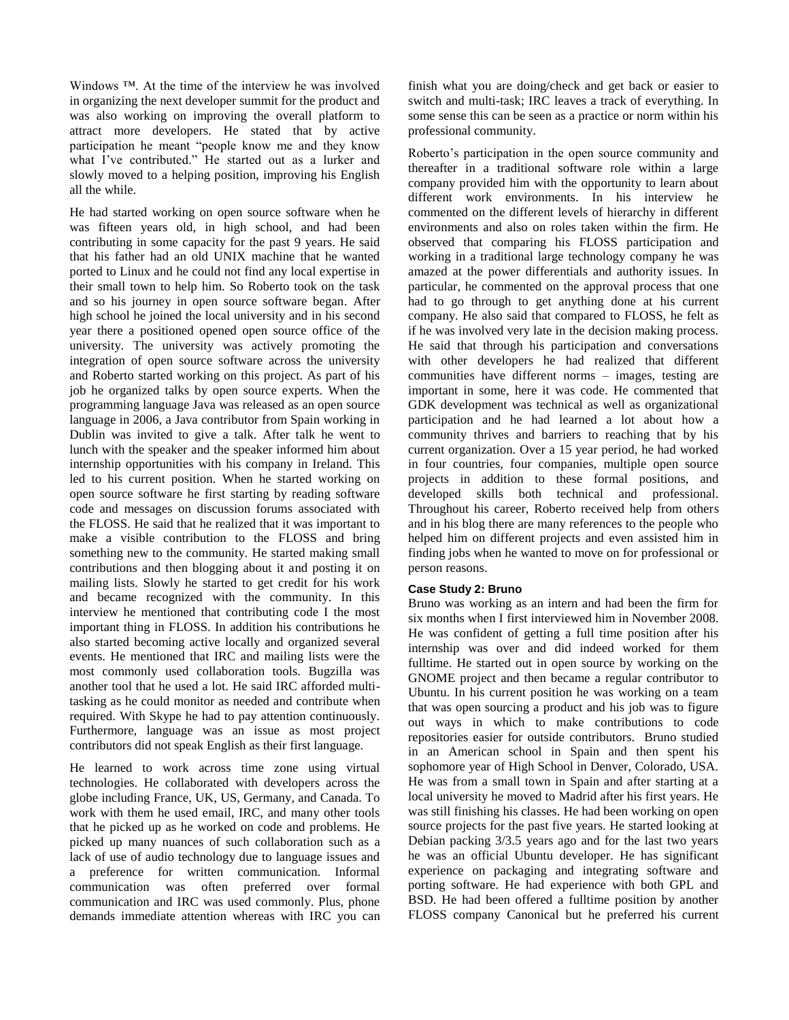Windows ™. At the time of the interview he was involved in organizing the next developer summit for the product and was also working on improving the overall platform to attract more developers. He stated that by active participation he meant "people know me and they know what I've contributed." He started out as a lurker and slowly moved to a helping position, improving his English all the while.

He had started working on open source software when he was fifteen years old, in high school, and had been contributing in some capacity for the past 9 years. He said that his father had an old UNIX machine that he wanted ported to Linux and he could not find any local expertise in their small town to help him. So Roberto took on the task and so his journey in open source software began. After high school he joined the local university and in his second year there a positioned opened open source office of the university. The university was actively promoting the integration of open source software across the university and Roberto started working on this project. As part of his job he organized talks by open source experts. When the programming language Java was released as an open source language in 2006, a Java contributor from Spain working in Dublin was invited to give a talk. After talk he went to lunch with the speaker and the speaker informed him about internship opportunities with his company in Ireland. This led to his current position. When he started working on open source software he first starting by reading software code and messages on discussion forums associated with the FLOSS. He said that he realized that it was important to make a visible contribution to the FLOSS and bring something new to the community. He started making small contributions and then blogging about it and posting it on mailing lists. Slowly he started to get credit for his work and became recognized with the community. In this interview he mentioned that contributing code I the most important thing in FLOSS. In addition his contributions he also started becoming active locally and organized several events. He mentioned that IRC and mailing lists were the most commonly used collaboration tools. Bugzilla was another tool that he used a lot. He said IRC afforded multitasking as he could monitor as needed and contribute when required. With Skype he had to pay attention continuously. Furthermore, language was an issue as most project contributors did not speak English as their first language.

He learned to work across time zone using virtual technologies. He collaborated with developers across the globe including France, UK, US, Germany, and Canada. To work with them he used email, IRC, and many other tools that he picked up as he worked on code and problems. He picked up many nuances of such collaboration such as a lack of use of audio technology due to language issues and a preference for written communication. Informal communication was often preferred over formal communication and IRC was used commonly. Plus, phone demands immediate attention whereas with IRC you can finish what you are doing/check and get back or easier to switch and multi-task; IRC leaves a track of everything. In some sense this can be seen as a practice or norm within his professional community.

Roberto"s participation in the open source community and thereafter in a traditional software role within a large company provided him with the opportunity to learn about different work environments. In his interview he commented on the different levels of hierarchy in different environments and also on roles taken within the firm. He observed that comparing his FLOSS participation and working in a traditional large technology company he was amazed at the power differentials and authority issues. In particular, he commented on the approval process that one had to go through to get anything done at his current company. He also said that compared to FLOSS, he felt as if he was involved very late in the decision making process. He said that through his participation and conversations with other developers he had realized that different communities have different norms – images, testing are important in some, here it was code. He commented that GDK development was technical as well as organizational participation and he had learned a lot about how a community thrives and barriers to reaching that by his current organization. Over a 15 year period, he had worked in four countries, four companies, multiple open source projects in addition to these formal positions, and developed skills both technical and professional. Throughout his career, Roberto received help from others and in his blog there are many references to the people who helped him on different projects and even assisted him in finding jobs when he wanted to move on for professional or person reasons.

## **Case Study 2: Bruno**

Bruno was working as an intern and had been the firm for six months when I first interviewed him in November 2008. He was confident of getting a full time position after his internship was over and did indeed worked for them fulltime. He started out in open source by working on the GNOME project and then became a regular contributor to Ubuntu. In his current position he was working on a team that was open sourcing a product and his job was to figure out ways in which to make contributions to code repositories easier for outside contributors. Bruno studied in an American school in Spain and then spent his sophomore year of High School in Denver, Colorado, USA. He was from a small town in Spain and after starting at a local university he moved to Madrid after his first years. He was still finishing his classes. He had been working on open source projects for the past five years. He started looking at Debian packing 3/3.5 years ago and for the last two years he was an official Ubuntu developer. He has significant experience on packaging and integrating software and porting software. He had experience with both GPL and BSD. He had been offered a fulltime position by another FLOSS company Canonical but he preferred his current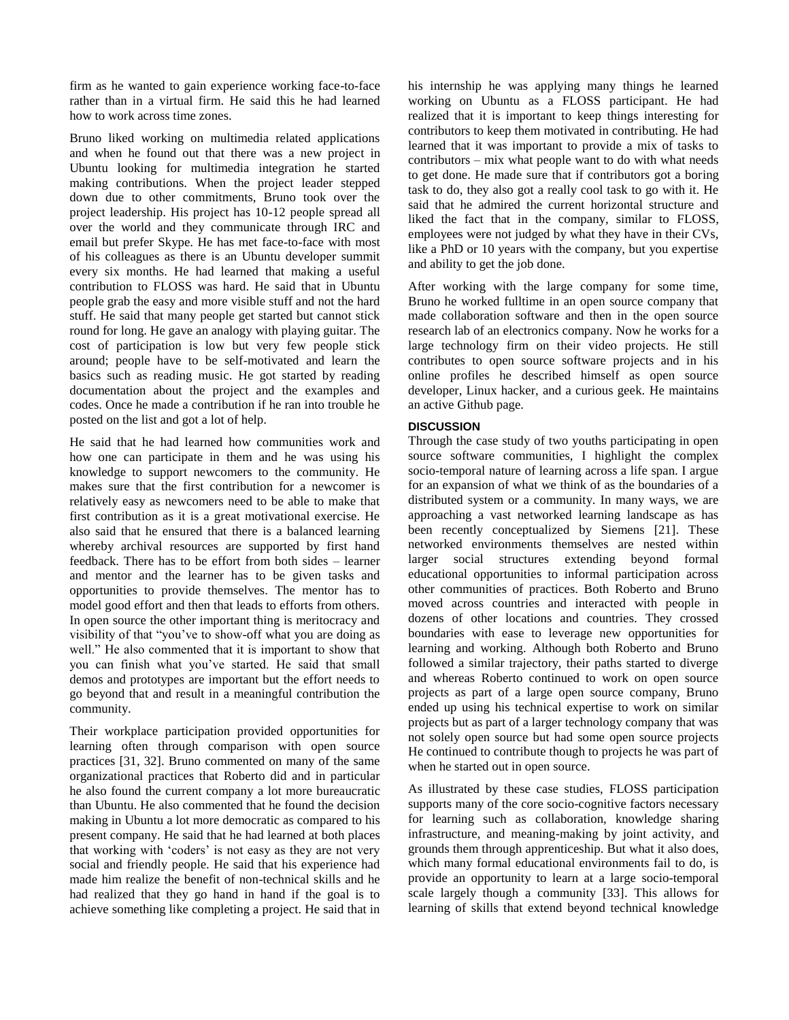firm as he wanted to gain experience working face-to-face rather than in a virtual firm. He said this he had learned how to work across time zones.

Bruno liked working on multimedia related applications and when he found out that there was a new project in Ubuntu looking for multimedia integration he started making contributions. When the project leader stepped down due to other commitments, Bruno took over the project leadership. His project has 10-12 people spread all over the world and they communicate through IRC and email but prefer Skype. He has met face-to-face with most of his colleagues as there is an Ubuntu developer summit every six months. He had learned that making a useful contribution to FLOSS was hard. He said that in Ubuntu people grab the easy and more visible stuff and not the hard stuff. He said that many people get started but cannot stick round for long. He gave an analogy with playing guitar. The cost of participation is low but very few people stick around; people have to be self-motivated and learn the basics such as reading music. He got started by reading documentation about the project and the examples and codes. Once he made a contribution if he ran into trouble he posted on the list and got a lot of help.

He said that he had learned how communities work and how one can participate in them and he was using his knowledge to support newcomers to the community. He makes sure that the first contribution for a newcomer is relatively easy as newcomers need to be able to make that first contribution as it is a great motivational exercise. He also said that he ensured that there is a balanced learning whereby archival resources are supported by first hand feedback. There has to be effort from both sides – learner and mentor and the learner has to be given tasks and opportunities to provide themselves. The mentor has to model good effort and then that leads to efforts from others. In open source the other important thing is meritocracy and visibility of that "you"ve to show-off what you are doing as well." He also commented that it is important to show that you can finish what you"ve started. He said that small demos and prototypes are important but the effort needs to go beyond that and result in a meaningful contribution the community.

Their workplace participation provided opportunities for learning often through comparison with open source practices [31, 32]. Bruno commented on many of the same organizational practices that Roberto did and in particular he also found the current company a lot more bureaucratic than Ubuntu. He also commented that he found the decision making in Ubuntu a lot more democratic as compared to his present company. He said that he had learned at both places that working with 'coders' is not easy as they are not very social and friendly people. He said that his experience had made him realize the benefit of non-technical skills and he had realized that they go hand in hand if the goal is to achieve something like completing a project. He said that in his internship he was applying many things he learned working on Ubuntu as a FLOSS participant. He had realized that it is important to keep things interesting for contributors to keep them motivated in contributing. He had learned that it was important to provide a mix of tasks to contributors – mix what people want to do with what needs to get done. He made sure that if contributors got a boring task to do, they also got a really cool task to go with it. He said that he admired the current horizontal structure and liked the fact that in the company, similar to FLOSS, employees were not judged by what they have in their CVs, like a PhD or 10 years with the company, but you expertise and ability to get the job done.

After working with the large company for some time, Bruno he worked fulltime in an open source company that made collaboration software and then in the open source research lab of an electronics company. Now he works for a large technology firm on their video projects. He still contributes to open source software projects and in his online profiles he described himself as open source developer, Linux hacker, and a curious geek. He maintains an active Github page.

## **DISCUSSION**

Through the case study of two youths participating in open source software communities, I highlight the complex socio-temporal nature of learning across a life span. I argue for an expansion of what we think of as the boundaries of a distributed system or a community. In many ways, we are approaching a vast networked learning landscape as has been recently conceptualized by Siemens [21]. These networked environments themselves are nested within larger social structures extending beyond formal educational opportunities to informal participation across other communities of practices. Both Roberto and Bruno moved across countries and interacted with people in dozens of other locations and countries. They crossed boundaries with ease to leverage new opportunities for learning and working. Although both Roberto and Bruno followed a similar trajectory, their paths started to diverge and whereas Roberto continued to work on open source projects as part of a large open source company, Bruno ended up using his technical expertise to work on similar projects but as part of a larger technology company that was not solely open source but had some open source projects He continued to contribute though to projects he was part of when he started out in open source.

As illustrated by these case studies, FLOSS participation supports many of the core socio-cognitive factors necessary for learning such as collaboration, knowledge sharing infrastructure, and meaning-making by joint activity, and grounds them through apprenticeship. But what it also does, which many formal educational environments fail to do, is provide an opportunity to learn at a large socio-temporal scale largely though a community [33]. This allows for learning of skills that extend beyond technical knowledge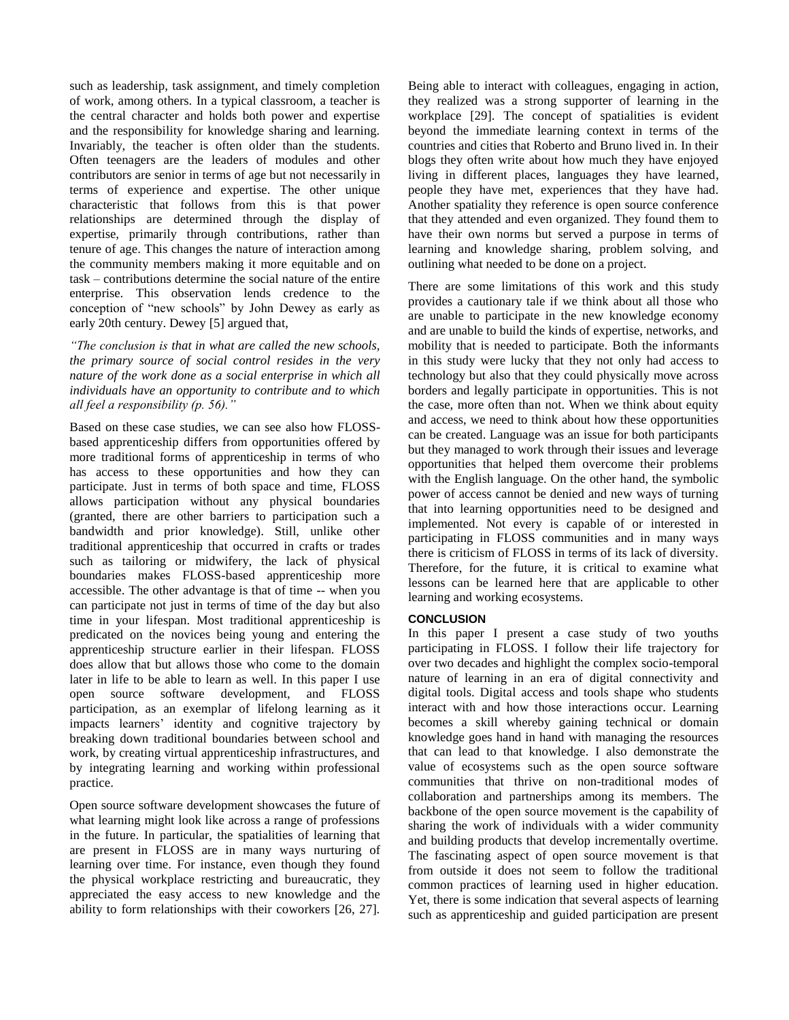such as leadership, task assignment, and timely completion of work, among others. In a typical classroom, a teacher is the central character and holds both power and expertise and the responsibility for knowledge sharing and learning. Invariably, the teacher is often older than the students. Often teenagers are the leaders of modules and other contributors are senior in terms of age but not necessarily in terms of experience and expertise. The other unique characteristic that follows from this is that power relationships are determined through the display of expertise, primarily through contributions, rather than tenure of age. This changes the nature of interaction among the community members making it more equitable and on task – contributions determine the social nature of the entire enterprise. This observation lends credence to the conception of "new schools" by John Dewey as early as early 20th century. Dewey [5] argued that,

*"The conclusion is that in what are called the new schools, the primary source of social control resides in the very nature of the work done as a social enterprise in which all individuals have an opportunity to contribute and to which all feel a responsibility (p. 56)."*

Based on these case studies, we can see also how FLOSSbased apprenticeship differs from opportunities offered by more traditional forms of apprenticeship in terms of who has access to these opportunities and how they can participate. Just in terms of both space and time, FLOSS allows participation without any physical boundaries (granted, there are other barriers to participation such a bandwidth and prior knowledge). Still, unlike other traditional apprenticeship that occurred in crafts or trades such as tailoring or midwifery, the lack of physical boundaries makes FLOSS-based apprenticeship more accessible. The other advantage is that of time -- when you can participate not just in terms of time of the day but also time in your lifespan. Most traditional apprenticeship is predicated on the novices being young and entering the apprenticeship structure earlier in their lifespan. FLOSS does allow that but allows those who come to the domain later in life to be able to learn as well. In this paper I use open source software development, and FLOSS participation, as an exemplar of lifelong learning as it impacts learners" identity and cognitive trajectory by breaking down traditional boundaries between school and work, by creating virtual apprenticeship infrastructures, and by integrating learning and working within professional practice.

Open source software development showcases the future of what learning might look like across a range of professions in the future. In particular, the spatialities of learning that are present in FLOSS are in many ways nurturing of learning over time. For instance, even though they found the physical workplace restricting and bureaucratic, they appreciated the easy access to new knowledge and the ability to form relationships with their coworkers [26, 27].

Being able to interact with colleagues, engaging in action, they realized was a strong supporter of learning in the workplace [29]. The concept of spatialities is evident beyond the immediate learning context in terms of the countries and cities that Roberto and Bruno lived in. In their blogs they often write about how much they have enjoyed living in different places, languages they have learned, people they have met, experiences that they have had. Another spatiality they reference is open source conference that they attended and even organized. They found them to have their own norms but served a purpose in terms of learning and knowledge sharing, problem solving, and outlining what needed to be done on a project.

There are some limitations of this work and this study provides a cautionary tale if we think about all those who are unable to participate in the new knowledge economy and are unable to build the kinds of expertise, networks, and mobility that is needed to participate. Both the informants in this study were lucky that they not only had access to technology but also that they could physically move across borders and legally participate in opportunities. This is not the case, more often than not. When we think about equity and access, we need to think about how these opportunities can be created. Language was an issue for both participants but they managed to work through their issues and leverage opportunities that helped them overcome their problems with the English language. On the other hand, the symbolic power of access cannot be denied and new ways of turning that into learning opportunities need to be designed and implemented. Not every is capable of or interested in participating in FLOSS communities and in many ways there is criticism of FLOSS in terms of its lack of diversity. Therefore, for the future, it is critical to examine what lessons can be learned here that are applicable to other learning and working ecosystems.

## **CONCLUSION**

In this paper I present a case study of two youths participating in FLOSS. I follow their life trajectory for over two decades and highlight the complex socio-temporal nature of learning in an era of digital connectivity and digital tools. Digital access and tools shape who students interact with and how those interactions occur. Learning becomes a skill whereby gaining technical or domain knowledge goes hand in hand with managing the resources that can lead to that knowledge. I also demonstrate the value of ecosystems such as the open source software communities that thrive on non-traditional modes of collaboration and partnerships among its members. The backbone of the open source movement is the capability of sharing the work of individuals with a wider community and building products that develop incrementally overtime. The fascinating aspect of open source movement is that from outside it does not seem to follow the traditional common practices of learning used in higher education. Yet, there is some indication that several aspects of learning such as apprenticeship and guided participation are present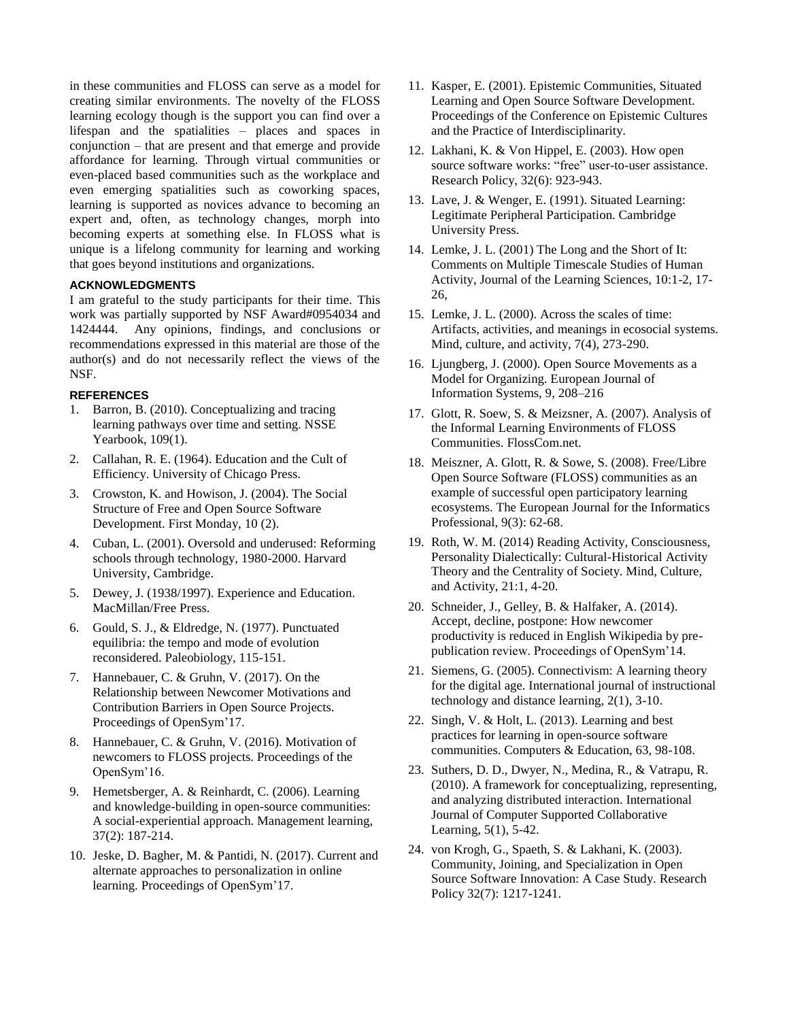in these communities and FLOSS can serve as a model for creating similar environments. The novelty of the FLOSS learning ecology though is the support you can find over a lifespan and the spatialities – places and spaces in conjunction – that are present and that emerge and provide affordance for learning. Through virtual communities or even-placed based communities such as the workplace and even emerging spatialities such as coworking spaces, learning is supported as novices advance to becoming an expert and, often, as technology changes, morph into becoming experts at something else. In FLOSS what is unique is a lifelong community for learning and working that goes beyond institutions and organizations.

# **ACKNOWLEDGMENTS**

I am grateful to the study participants for their time. This work was partially supported by NSF Award#0954034 and 1424444. Any opinions, findings, and conclusions or recommendations expressed in this material are those of the author(s) and do not necessarily reflect the views of the NSF.

## **REFERENCES**

- 1. Barron, B. (2010). Conceptualizing and tracing learning pathways over time and setting. NSSE Yearbook, 109(1).
- 2. Callahan, R. E. (1964). Education and the Cult of Efficiency. University of Chicago Press.
- 3. Crowston, K. and Howison, J. (2004). The Social Structure of Free and Open Source Software Development. First Monday, 10 (2).
- 4. Cuban, L. (2001). Oversold and underused: Reforming schools through technology, 1980-2000. Harvard University, Cambridge.
- 5. Dewey, J. (1938/1997). Experience and Education. MacMillan/Free Press.
- 6. Gould, S. J., & Eldredge, N. (1977). Punctuated equilibria: the tempo and mode of evolution reconsidered. Paleobiology, 115-151.
- 7. Hannebauer, C. & Gruhn, V. (2017). On the Relationship between Newcomer Motivations and Contribution Barriers in Open Source Projects. Proceedings of OpenSym"17.
- 8. Hannebauer, C. & Gruhn, V. (2016). Motivation of newcomers to FLOSS projects. Proceedings of the OpenSym'16.
- 9. Hemetsberger, A. & Reinhardt, C. (2006). Learning and knowledge-building in open-source communities: A social-experiential approach. Management learning, 37(2): 187-214.
- 10. Jeske, D. Bagher, M. & Pantidi, N. (2017). Current and alternate approaches to personalization in online learning. Proceedings of OpenSym'17.
- 11. Kasper, E. (2001). Epistemic Communities, Situated Learning and Open Source Software Development. Proceedings of the Conference on Epistemic Cultures and the Practice of Interdisciplinarity.
- 12. Lakhani, K. & Von Hippel, E. (2003). How open source software works: "free" user-to-user assistance. Research Policy, 32(6): 923-943.
- 13. Lave, J. & Wenger, E. (1991). Situated Learning: Legitimate Peripheral Participation. Cambridge University Press.
- 14. Lemke, J. L. (2001) The Long and the Short of It: Comments on Multiple Timescale Studies of Human Activity, Journal of the Learning Sciences, 10:1-2, 17- 26,
- 15. Lemke, J. L. (2000). Across the scales of time: Artifacts, activities, and meanings in ecosocial systems. Mind, culture, and activity, 7(4), 273-290.
- 16. Ljungberg, J. (2000). Open Source Movements as a Model for Organizing. European Journal of Information Systems, 9, 208–216
- 17. Glott, R. Soew, S. & Meizsner, A. (2007). Analysis of the Informal Learning Environments of FLOSS Communities. FlossCom.net.
- 18. Meiszner, A. Glott, R. & Sowe, S. (2008). Free/Libre Open Source Software (FLOSS) communities as an example of successful open participatory learning ecosystems. The European Journal for the Informatics Professional, 9(3): 62-68.
- 19. Roth, W. M. (2014) Reading Activity, Consciousness, Personality Dialectically: Cultural-Historical Activity Theory and the Centrality of Society. Mind, Culture, and Activity, 21:1, 4-20.
- 20. Schneider, J., Gelley, B. & Halfaker, A. (2014). Accept, decline, postpone: How newcomer productivity is reduced in English Wikipedia by prepublication review. Proceedings of OpenSym"14.
- 21. Siemens, G. (2005). Connectivism: A learning theory for the digital age. International journal of instructional technology and distance learning, 2(1), 3-10.
- 22. Singh, V. & Holt, L. (2013). Learning and best practices for learning in open-source software communities. Computers & Education, 63, 98-108.
- 23. Suthers, D. D., Dwyer, N., Medina, R., & Vatrapu, R. (2010). A framework for conceptualizing, representing, and analyzing distributed interaction. International Journal of Computer Supported Collaborative Learning, 5(1), 5-42.
- 24. von Krogh, G., Spaeth, S. & Lakhani, K. (2003). Community, Joining, and Specialization in Open Source Software Innovation: A Case Study. Research Policy 32(7): 1217-1241.